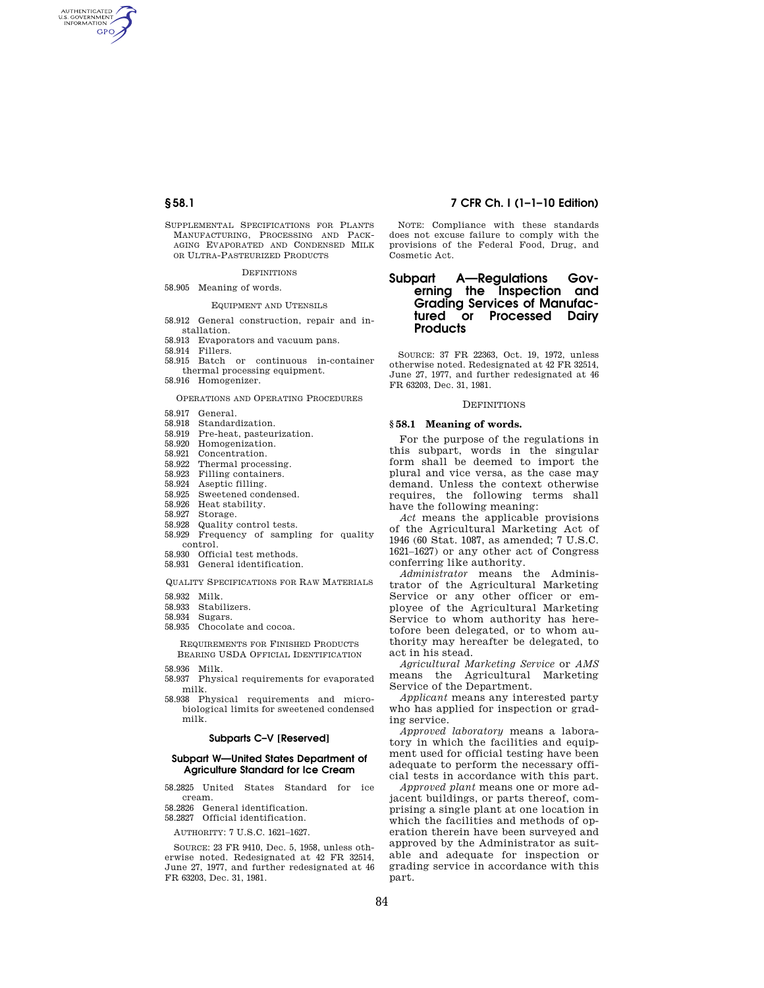AUTHENTICATED<br>U.S. GOVERNMENT<br>INFORMATION GPO

> SUPPLEMENTAL SPECIFICATIONS FOR PLANTS MANUFACTURING, PROCESSING AND PACK-AGING EVAPORATED AND CONDENSED MILK OR ULTRA-PASTEURIZED PRODUCTS

## DEFINITIONS

58.905 Meaning of words.

# EQUIPMENT AND UTENSILS

- 58.912 General construction, repair and installation.
- 58.913 Evaporators and vacuum pans.
- 58.914 Fillers.
- 58.915 Batch or continuous in-container thermal processing equipment.
- 58.916 Homogenizer.

### OPERATIONS AND OPERATING PROCEDURES

- 58.917 General.
- 58.918 Standardization.
- 58.919 Pre-heat, pasteurization.
- 58.920 Homogenization.
- 58.921 Concentration.
- 58.922 Thermal processing.
- 58.923 Filling containers.
- 58.924 Aseptic filling.
- 58.925 Sweetened condensed.
- 58.926 Heat stability.
- 58.927 Storage.
- 58.928 Quality control tests.
- 58.929 Frequency of sampling for quality control.
- 58.930 Official test methods.
- 58.931 General identification.

QUALITY SPECIFICATIONS FOR RAW MATERIALS

- 58.932 Milk.
- 58.933 Stabilizers.
- 58.934 Sugars.
- 58.935 Chocolate and cocoa.

REQUIREMENTS FOR FINISHED PRODUCTS BEARING USDA OFFICIAL IDENTIFICATION

- 
- 58.936 Milk. 58.937 Physical requirements for evaporated milk.
- 58.938 Physical requirements and microbiological limits for sweetened condensed milk.

### **Subparts C–V [Reserved]**

## **Subpart W—United States Department of Agriculture Standard for Ice Cream**

- 58.2825 United States Standard for ice cream.
- 58.2826 General identification.
- 58.2827 Official identification.

AUTHORITY: 7 U.S.C. 1621–1627.

SOURCE: 23 FR 9410, Dec. 5, 1958, unless otherwise noted. Redesignated at 42 FR 32514, June 27, 1977, and further redesignated at 46 FR 63203, Dec. 31, 1981.

# **§ 58.1 7 CFR Ch. I (1–1–10 Edition)**

NOTE: Compliance with these standards does not excuse failure to comply with the provisions of the Federal Food, Drug, and Cosmetic Act.

# **Subpart A—Regulations Governing the Inspection and Grading Services of Manufactured or Processed Dairy Products**

SOURCE: 37 FR 22363, Oct. 19, 1972, unless otherwise noted. Redesignated at 42 FR 32514, June 27, 1977, and further redesignated at 46 FR 63203, Dec. 31, 1981.

## **DEFINITIONS**

# **§ 58.1 Meaning of words.**

For the purpose of the regulations in this subpart, words in the singular form shall be deemed to import the plural and vice versa, as the case may demand. Unless the context otherwise requires, the following terms shall have the following meaning:

*Act* means the applicable provisions of the Agricultural Marketing Act of 1946 (60 Stat. 1087, as amended; 7 U.S.C. 1621–1627) or any other act of Congress conferring like authority.

*Administrator* means the Administrator of the Agricultural Marketing Service or any other officer or employee of the Agricultural Marketing Service to whom authority has heretofore been delegated, or to whom authority may hereafter be delegated, to act in his stead.

*Agricultural Marketing Service* or *AMS*  means the Agricultural Marketing Service of the Department.

*Applicant* means any interested party who has applied for inspection or grading service.

*Approved laboratory* means a laboratory in which the facilities and equipment used for official testing have been adequate to perform the necessary official tests in accordance with this part.

*Approved plant* means one or more adjacent buildings, or parts thereof, comprising a single plant at one location in which the facilities and methods of operation therein have been surveyed and approved by the Administrator as suitable and adequate for inspection or grading service in accordance with this part.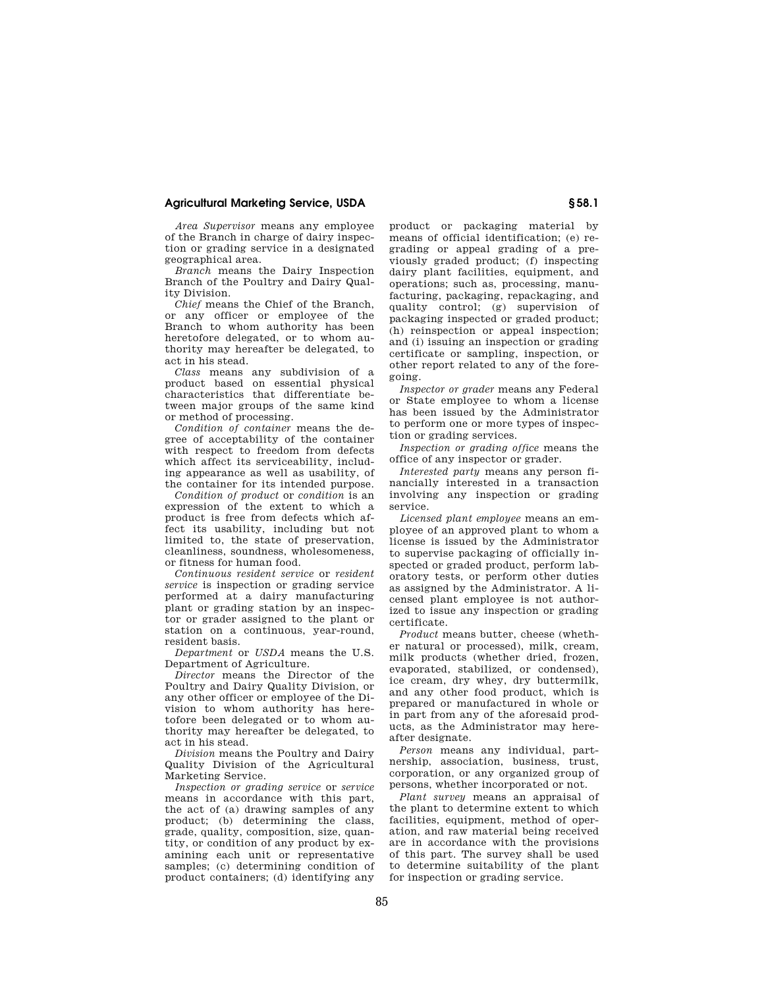# **Agricultural Marketing Service, USDA § 58.1**

*Area Supervisor* means any employee of the Branch in charge of dairy inspection or grading service in a designated geographical area.

*Branch* means the Dairy Inspection Branch of the Poultry and Dairy Quality Division.

*Chief* means the Chief of the Branch, or any officer or employee of the Branch to whom authority has been heretofore delegated, or to whom authority may hereafter be delegated, to act in his stead.

*Class* means any subdivision of a product based on essential physical characteristics that differentiate between major groups of the same kind or method of processing.

*Condition of container* means the degree of acceptability of the container with respect to freedom from defects which affect its serviceability, including appearance as well as usability, of the container for its intended purpose.

*Condition of product* or *condition* is an expression of the extent to which a product is free from defects which affect its usability, including but not limited to, the state of preservation, cleanliness, soundness, wholesomeness, or fitness for human food.

*Continuous resident service* or *resident service* is inspection or grading service performed at a dairy manufacturing plant or grading station by an inspector or grader assigned to the plant or station on a continuous, year-round, resident basis.

*Department* or *USDA* means the U.S. Department of Agriculture.

*Director* means the Director of the Poultry and Dairy Quality Division, or any other officer or employee of the Division to whom authority has heretofore been delegated or to whom authority may hereafter be delegated, to act in his stead.

*Division* means the Poultry and Dairy Quality Division of the Agricultural Marketing Service.

*Inspection or grading service* or *service*  means in accordance with this part, the act of (a) drawing samples of any product; (b) determining the class, grade, quality, composition, size, quantity, or condition of any product by examining each unit or representative samples; (c) determining condition of product containers; (d) identifying any

product or packaging material by means of official identification; (e) regrading or appeal grading of a previously graded product; (f) inspecting dairy plant facilities, equipment, and operations; such as, processing, manufacturing, packaging, repackaging, and quality control; (g) supervision of packaging inspected or graded product; (h) reinspection or appeal inspection; and (i) issuing an inspection or grading certificate or sampling, inspection, or other report related to any of the foregoing.

*Inspector or grader* means any Federal or State employee to whom a license has been issued by the Administrator to perform one or more types of inspection or grading services.

*Inspection or grading office* means the office of any inspector or grader.

*Interested party* means any person financially interested in a transaction involving any inspection or grading service.

*Licensed plant employee* means an employee of an approved plant to whom a license is issued by the Administrator to supervise packaging of officially inspected or graded product, perform laboratory tests, or perform other duties as assigned by the Administrator. A licensed plant employee is not authorized to issue any inspection or grading certificate.

*Product* means butter, cheese (whether natural or processed), milk, cream, milk products (whether dried, frozen, evaporated, stabilized, or condensed), ice cream, dry whey, dry buttermilk, and any other food product, which is prepared or manufactured in whole or in part from any of the aforesaid products, as the Administrator may hereafter designate.

*Person* means any individual, partnership, association, business, trust, corporation, or any organized group of persons, whether incorporated or not.

*Plant survey* means an appraisal of the plant to determine extent to which facilities, equipment, method of operation, and raw material being received are in accordance with the provisions of this part. The survey shall be used to determine suitability of the plant for inspection or grading service.